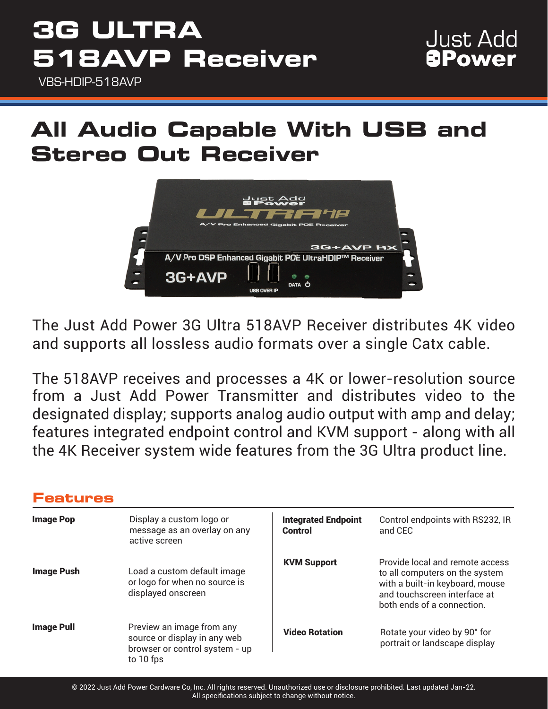VBS-HDIP-518AVP

# **All Audio Capable With USB and Stereo Out Receiver**



The Just Add Power 3G Ultra 518AVP Receiver distributes 4K video and supports all lossless audio formats over a single Catx cable.

The 518AVP receives and processes a 4K or lower-resolution source from a Just Add Power Transmitter and distributes video to the designated display; supports analog audio output with amp and delay; features integrated endpoint control and KVM support - along with all the 4K Receiver system wide features from the 3G Ultra product line.

### **Features**

| <b>Image Pop</b>  | Display a custom logo or<br>message as an overlay on any<br>active screen                                | <b>Integrated Endpoint</b><br>Control | Control endpoints with RS232, IR<br>and CEC                                                                                                                        |
|-------------------|----------------------------------------------------------------------------------------------------------|---------------------------------------|--------------------------------------------------------------------------------------------------------------------------------------------------------------------|
| <b>Image Push</b> | Load a custom default image<br>or logo for when no source is<br>displayed onscreen                       | <b>KVM Support</b>                    | Provide local and remote access<br>to all computers on the system<br>with a built-in keyboard, mouse<br>and touchscreen interface at<br>both ends of a connection. |
| <b>Image Pull</b> | Preview an image from any<br>source or display in any web<br>browser or control system - up<br>to 10 fps | <b>Video Rotation</b>                 | Rotate your video by 90° for<br>portrait or landscape display                                                                                                      |